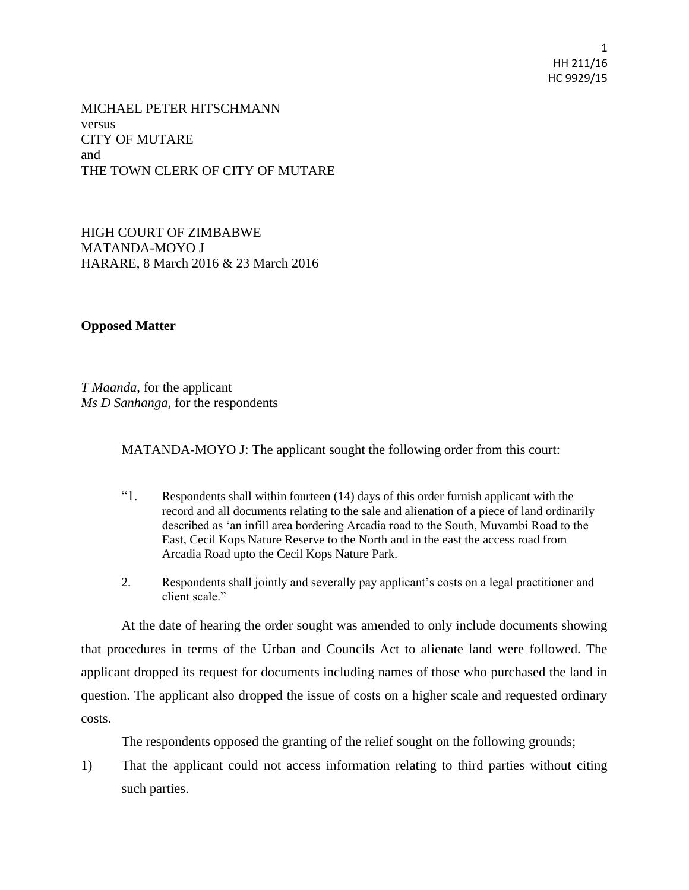1 HH 211/16 HC 9929/15

MICHAEL PETER HITSCHMANN versus CITY OF MUTARE and THE TOWN CLERK OF CITY OF MUTARE

HIGH COURT OF ZIMBABWE MATANDA-MOYO J HARARE, 8 March 2016 & 23 March 2016

**Opposed Matter**

*T Maanda*, for the applicant *Ms D Sanhanga*, for the respondents

MATANDA-MOYO J: The applicant sought the following order from this court:

- "1. Respondents shall within fourteen (14) days of this order furnish applicant with the record and all documents relating to the sale and alienation of a piece of land ordinarily described as 'an infill area bordering Arcadia road to the South, Muvambi Road to the East, Cecil Kops Nature Reserve to the North and in the east the access road from Arcadia Road upto the Cecil Kops Nature Park.
- 2. Respondents shall jointly and severally pay applicant's costs on a legal practitioner and client scale."

At the date of hearing the order sought was amended to only include documents showing that procedures in terms of the Urban and Councils Act to alienate land were followed. The applicant dropped its request for documents including names of those who purchased the land in question. The applicant also dropped the issue of costs on a higher scale and requested ordinary costs.

The respondents opposed the granting of the relief sought on the following grounds;

1) That the applicant could not access information relating to third parties without citing such parties.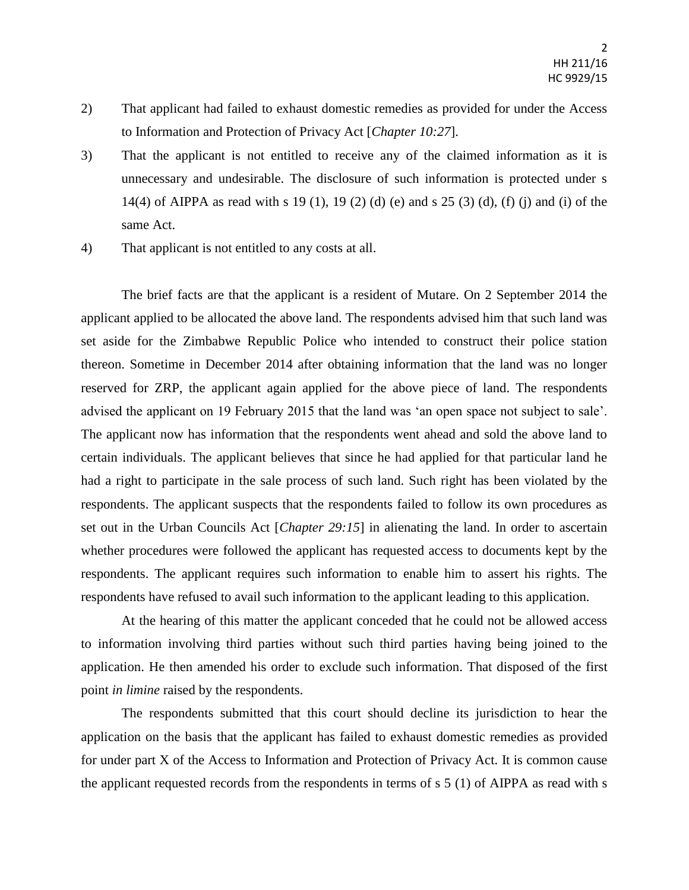- 2) That applicant had failed to exhaust domestic remedies as provided for under the Access to Information and Protection of Privacy Act [*Chapter 10:27*].
- 3) That the applicant is not entitled to receive any of the claimed information as it is unnecessary and undesirable. The disclosure of such information is protected under s 14(4) of AIPPA as read with s 19 (1), 19 (2) (d) (e) and s 25 (3) (d), (f) (j) and (i) of the same Act.
- 4) That applicant is not entitled to any costs at all.

The brief facts are that the applicant is a resident of Mutare. On 2 September 2014 the applicant applied to be allocated the above land. The respondents advised him that such land was set aside for the Zimbabwe Republic Police who intended to construct their police station thereon. Sometime in December 2014 after obtaining information that the land was no longer reserved for ZRP, the applicant again applied for the above piece of land. The respondents advised the applicant on 19 February 2015 that the land was 'an open space not subject to sale'. The applicant now has information that the respondents went ahead and sold the above land to certain individuals. The applicant believes that since he had applied for that particular land he had a right to participate in the sale process of such land. Such right has been violated by the respondents. The applicant suspects that the respondents failed to follow its own procedures as set out in the Urban Councils Act [*Chapter 29:15*] in alienating the land. In order to ascertain whether procedures were followed the applicant has requested access to documents kept by the respondents. The applicant requires such information to enable him to assert his rights. The respondents have refused to avail such information to the applicant leading to this application.

At the hearing of this matter the applicant conceded that he could not be allowed access to information involving third parties without such third parties having being joined to the application. He then amended his order to exclude such information. That disposed of the first point *in limine* raised by the respondents.

The respondents submitted that this court should decline its jurisdiction to hear the application on the basis that the applicant has failed to exhaust domestic remedies as provided for under part X of the Access to Information and Protection of Privacy Act. It is common cause the applicant requested records from the respondents in terms of s 5 (1) of AIPPA as read with s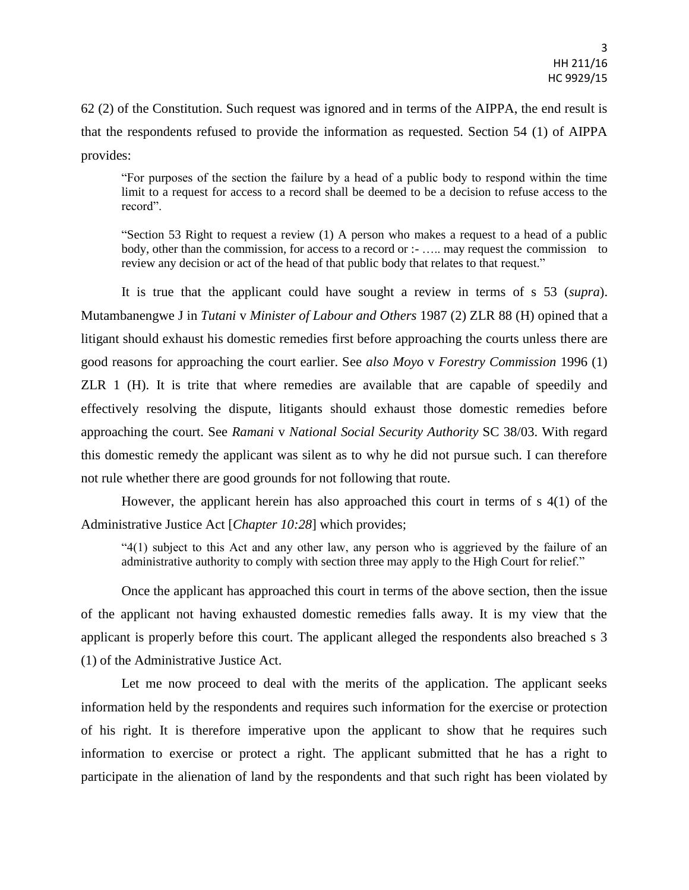62 (2) of the Constitution. Such request was ignored and in terms of the AIPPA, the end result is that the respondents refused to provide the information as requested. Section 54 (1) of AIPPA provides:

"For purposes of the section the failure by a head of a public body to respond within the time limit to a request for access to a record shall be deemed to be a decision to refuse access to the record".

"Section 53 Right to request a review (1) A person who makes a request to a head of a public body, other than the commission, for access to a record or :- ….. may request the commission to review any decision or act of the head of that public body that relates to that request."

It is true that the applicant could have sought a review in terms of s 53 (*supra*). Mutambanengwe J in *Tutani* v *Minister of Labour and Others* 1987 (2) ZLR 88 (H) opined that a litigant should exhaust his domestic remedies first before approaching the courts unless there are good reasons for approaching the court earlier. See *also Moyo* v *Forestry Commission* 1996 (1) ZLR 1 (H). It is trite that where remedies are available that are capable of speedily and effectively resolving the dispute, litigants should exhaust those domestic remedies before approaching the court. See *Ramani* v *National Social Security Authority* SC 38/03. With regard this domestic remedy the applicant was silent as to why he did not pursue such. I can therefore not rule whether there are good grounds for not following that route.

However, the applicant herein has also approached this court in terms of s 4(1) of the Administrative Justice Act [*Chapter 10:28*] which provides;

"4(1) subject to this Act and any other law, any person who is aggrieved by the failure of an administrative authority to comply with section three may apply to the High Court for relief."

Once the applicant has approached this court in terms of the above section, then the issue of the applicant not having exhausted domestic remedies falls away. It is my view that the applicant is properly before this court. The applicant alleged the respondents also breached s 3 (1) of the Administrative Justice Act.

Let me now proceed to deal with the merits of the application. The applicant seeks information held by the respondents and requires such information for the exercise or protection of his right. It is therefore imperative upon the applicant to show that he requires such information to exercise or protect a right. The applicant submitted that he has a right to participate in the alienation of land by the respondents and that such right has been violated by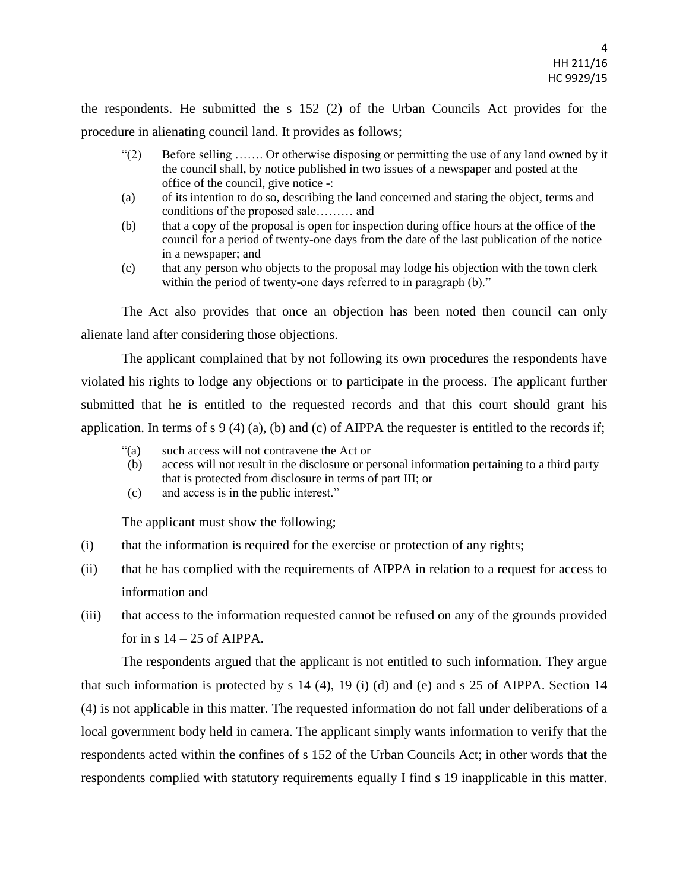the respondents. He submitted the s 152 (2) of the Urban Councils Act provides for the procedure in alienating council land. It provides as follows;

- "(2) Before selling ……. Or otherwise disposing or permitting the use of any land owned by it the council shall, by notice published in two issues of a newspaper and posted at the office of the council, give notice -:
- (a) of its intention to do so, describing the land concerned and stating the object, terms and conditions of the proposed sale……… and
- (b) that a copy of the proposal is open for inspection during office hours at the office of the council for a period of twenty-one days from the date of the last publication of the notice in a newspaper; and
- (c) that any person who objects to the proposal may lodge his objection with the town clerk within the period of twenty-one days referred to in paragraph (b)."

The Act also provides that once an objection has been noted then council can only alienate land after considering those objections.

The applicant complained that by not following its own procedures the respondents have violated his rights to lodge any objections or to participate in the process. The applicant further submitted that he is entitled to the requested records and that this court should grant his application. In terms of s 9 (4) (a), (b) and (c) of AIPPA the requester is entitled to the records if;

- "(a) such access will not contravene the Act or
- (b) access will not result in the disclosure or personal information pertaining to a third party that is protected from disclosure in terms of part III; or
- (c) and access is in the public interest."

The applicant must show the following;

- (i) that the information is required for the exercise or protection of any rights;
- (ii) that he has complied with the requirements of AIPPA in relation to a request for access to information and
- (iii) that access to the information requested cannot be refused on any of the grounds provided for in s  $14 - 25$  of AIPPA.

The respondents argued that the applicant is not entitled to such information. They argue that such information is protected by s 14 (4), 19 (i) (d) and (e) and s 25 of AIPPA. Section 14 (4) is not applicable in this matter. The requested information do not fall under deliberations of a local government body held in camera. The applicant simply wants information to verify that the respondents acted within the confines of s 152 of the Urban Councils Act; in other words that the respondents complied with statutory requirements equally I find s 19 inapplicable in this matter.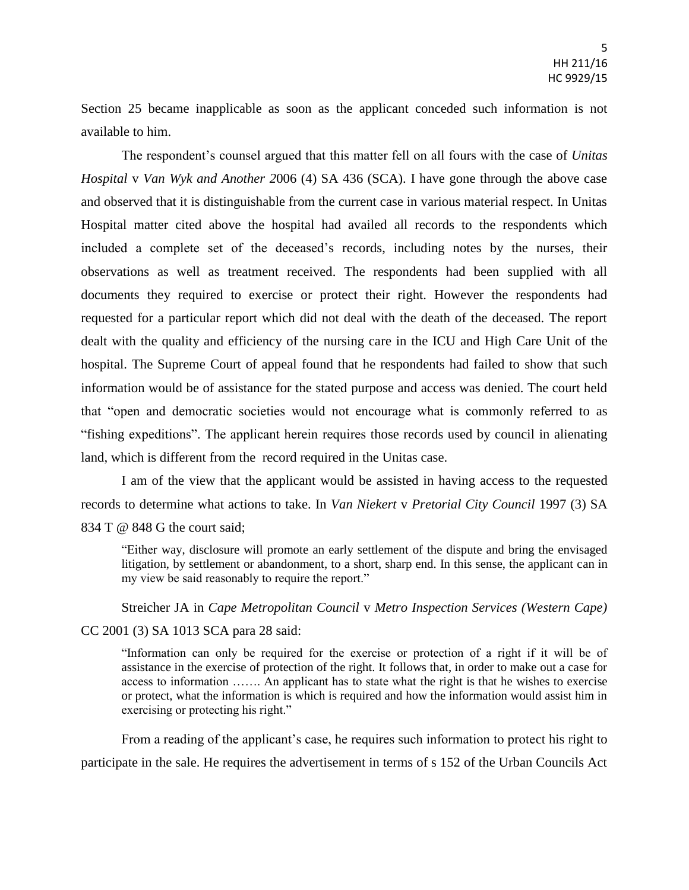Section 25 became inapplicable as soon as the applicant conceded such information is not available to him.

The respondent's counsel argued that this matter fell on all fours with the case of *Unitas Hospital* v *Van Wyk and Another 2*006 (4) SA 436 (SCA). I have gone through the above case and observed that it is distinguishable from the current case in various material respect. In Unitas Hospital matter cited above the hospital had availed all records to the respondents which included a complete set of the deceased's records, including notes by the nurses, their observations as well as treatment received. The respondents had been supplied with all documents they required to exercise or protect their right. However the respondents had requested for a particular report which did not deal with the death of the deceased. The report dealt with the quality and efficiency of the nursing care in the ICU and High Care Unit of the hospital. The Supreme Court of appeal found that he respondents had failed to show that such information would be of assistance for the stated purpose and access was denied. The court held that "open and democratic societies would not encourage what is commonly referred to as "fishing expeditions". The applicant herein requires those records used by council in alienating land, which is different from the record required in the Unitas case.

I am of the view that the applicant would be assisted in having access to the requested records to determine what actions to take. In *Van Niekert* v *Pretorial City Council* 1997 (3) SA 834 T @ 848 G the court said:

"Either way, disclosure will promote an early settlement of the dispute and bring the envisaged litigation, by settlement or abandonment, to a short, sharp end. In this sense, the applicant can in my view be said reasonably to require the report."

Streicher JA in *Cape Metropolitan Council* v *Metro Inspection Services (Western Cape)*

## CC 2001 (3) SA 1013 SCA para 28 said:

"Information can only be required for the exercise or protection of a right if it will be of assistance in the exercise of protection of the right. It follows that, in order to make out a case for access to information ……. An applicant has to state what the right is that he wishes to exercise or protect, what the information is which is required and how the information would assist him in exercising or protecting his right."

From a reading of the applicant's case, he requires such information to protect his right to participate in the sale. He requires the advertisement in terms of s 152 of the Urban Councils Act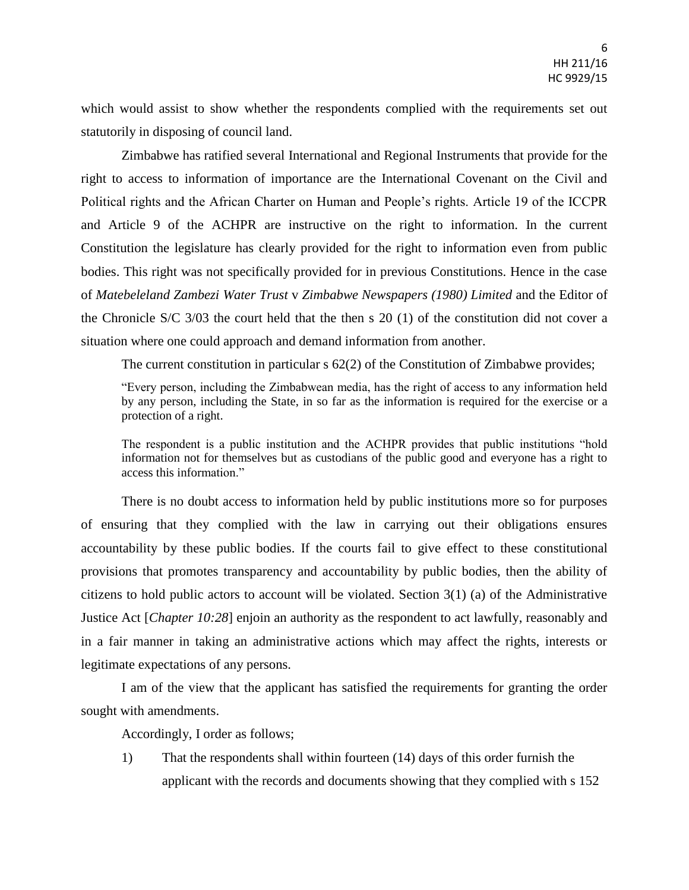which would assist to show whether the respondents complied with the requirements set out statutorily in disposing of council land.

Zimbabwe has ratified several International and Regional Instruments that provide for the right to access to information of importance are the International Covenant on the Civil and Political rights and the African Charter on Human and People's rights. Article 19 of the ICCPR and Article 9 of the ACHPR are instructive on the right to information. In the current Constitution the legislature has clearly provided for the right to information even from public bodies. This right was not specifically provided for in previous Constitutions. Hence in the case of *Matebeleland Zambezi Water Trust* v *Zimbabwe Newspapers (1980) Limited* and the Editor of the Chronicle S/C 3/03 the court held that the then s 20 (1) of the constitution did not cover a situation where one could approach and demand information from another.

The current constitution in particular s 62(2) of the Constitution of Zimbabwe provides;

"Every person, including the Zimbabwean media, has the right of access to any information held by any person, including the State, in so far as the information is required for the exercise or a protection of a right.

The respondent is a public institution and the ACHPR provides that public institutions "hold information not for themselves but as custodians of the public good and everyone has a right to access this information."

There is no doubt access to information held by public institutions more so for purposes of ensuring that they complied with the law in carrying out their obligations ensures accountability by these public bodies. If the courts fail to give effect to these constitutional provisions that promotes transparency and accountability by public bodies, then the ability of citizens to hold public actors to account will be violated. Section  $3(1)$  (a) of the Administrative Justice Act [*Chapter 10:28*] enjoin an authority as the respondent to act lawfully, reasonably and in a fair manner in taking an administrative actions which may affect the rights, interests or legitimate expectations of any persons.

I am of the view that the applicant has satisfied the requirements for granting the order sought with amendments.

Accordingly, I order as follows;

1) That the respondents shall within fourteen (14) days of this order furnish the applicant with the records and documents showing that they complied with s 152